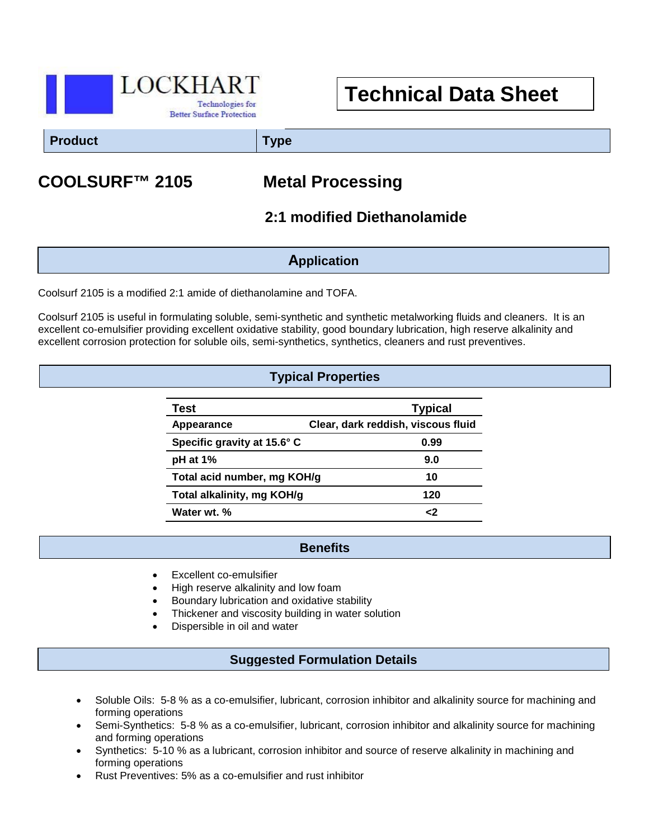

# **Technical Data Sheet**

**Product Type**

# **COOLSURF™ 2105 Metal Processing**

## **2:1 modified Diethanolamide**

#### **Application**

Coolsurf 2105 is a modified 2:1 amide of diethanolamine and TOFA.

Coolsurf 2105 is useful in formulating soluble, semi-synthetic and synthetic metalworking fluids and cleaners. It is an excellent co-emulsifier providing excellent oxidative stability, good boundary lubrication, high reserve alkalinity and excellent corrosion protection for soluble oils, semi-synthetics, synthetics, cleaners and rust preventives.

### **Typical Properties**

| Test                        | <b>Typical</b>                     |
|-----------------------------|------------------------------------|
| Appearance                  | Clear, dark reddish, viscous fluid |
| Specific gravity at 15.6° C | 0.99                               |
| $pH$ at 1%                  | 9.0                                |
| Total acid number, mg KOH/g | 10                                 |
| Total alkalinity, mg KOH/g  | 120                                |
| Water wt. %                 | ر.                                 |

#### **Benefits**

- Excellent co-emulsifier
- High reserve alkalinity and low foam
- Boundary lubrication and oxidative stability
- Thickener and viscosity building in water solution
- Dispersible in oil and water

#### **Suggested Formulation Details**

- Soluble Oils: 5-8 % as a co-emulsifier, lubricant, corrosion inhibitor and alkalinity source for machining and forming operations
- Semi-Synthetics: 5-8 % as a co-emulsifier, lubricant, corrosion inhibitor and alkalinity source for machining and forming operations
- Synthetics: 5-10 % as a lubricant, corrosion inhibitor and source of reserve alkalinity in machining and forming operations
- Rust Preventives: 5% as a co-emulsifier and rust inhibitor